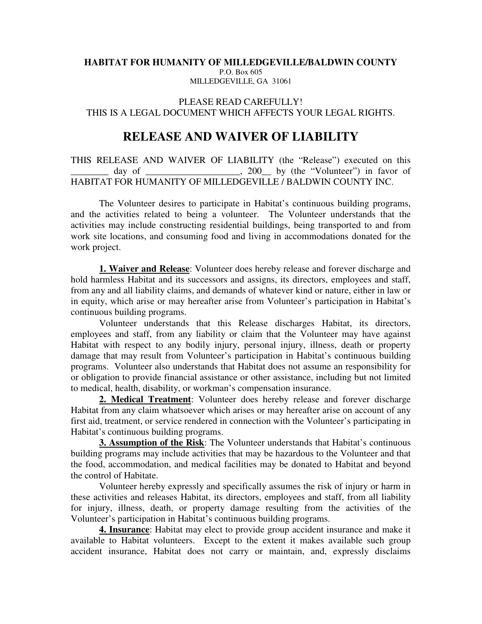## **HABITAT FOR HUMANITY OF MILLEDGEVILLE/BALDWIN COUNTY**  P.O. Box 605 MILLEDGEVILLE, GA 31061

## PLEASE READ CAREFULLY! THIS IS A LEGAL DOCUMENT WHICH AFFECTS YOUR LEGAL RIGHTS.

## **RELEASE AND WAIVER OF LIABILITY**

THIS RELEASE AND WAIVER OF LIABILITY (the "Release") executed on this \_\_\_\_\_\_\_\_ day of \_\_\_\_\_\_\_\_\_\_\_\_\_\_\_\_\_\_\_\_, 200\_\_ by (the "Volunteer") in favor of HABITAT FOR HUMANITY OF MILLEDGEVILLE / BALDWIN COUNTY INC.

The Volunteer desires to participate in Habitat's continuous building programs, and the activities related to being a volunteer. The Volunteer understands that the activities may include constructing residential buildings, being transported to and from work site locations, and consuming food and living in accommodations donated for the work project.

**1. Waiver and Release**: Volunteer does hereby release and forever discharge and hold harmless Habitat and its successors and assigns, its directors, employees and staff, from any and all liability claims, and demands of whatever kind or nature, either in law or in equity, which arise or may hereafter arise from Volunteer's participation in Habitat's continuous building programs.

Volunteer understands that this Release discharges Habitat, its directors, employees and staff, from any liability or claim that the Volunteer may have against Habitat with respect to any bodily injury, personal injury, illness, death or property damage that may result from Volunteer's participation in Habitat's continuous building programs. Volunteer also understands that Habitat does not assume an responsibility for or obligation to provide financial assistance or other assistance, including but not limited to medical, health, disability, or workman's compensation insurance.

**2. Medical Treatment**: Volunteer does hereby release and forever discharge Habitat from any claim whatsoever which arises or may hereafter arise on account of any first aid, treatment, or service rendered in connection with the Volunteer's participating in Habitat's continuous building programs.

**3. Assumption of the Risk**: The Volunteer understands that Habitat's continuous building programs may include activities that may be hazardous to the Volunteer and that the food, accommodation, and medical facilities may be donated to Habitat and beyond the control of Habitate.

Volunteer hereby expressly and specifically assumes the risk of injury or harm in these activities and releases Habitat, its directors, employees and staff, from all liability for injury, illness, death, or property damage resulting from the activities of the Volunteer's participation in Habitat's continuous building programs.

**4. Insurance**: Habitat may elect to provide group accident insurance and make it available to Habitat volunteers. Except to the extent it makes available such group accident insurance, Habitat does not carry or maintain, and, expressly disclaims